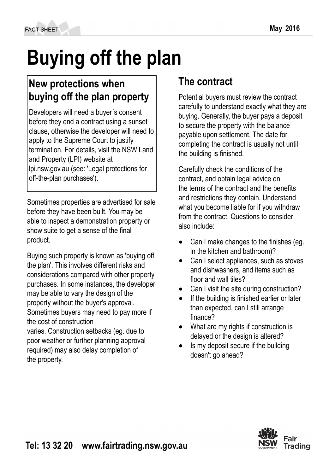# **Buying off the plan**

## **New protections when buying off the plan property**

Developers will need a buyer´s consent before they end a contract using a sunset clause, otherwise the developer will need to apply to the Supreme Court to justify termination. For details, visit the NSW Land and Property (LPI) website at lpi.nsw.gov.au (see: 'Legal protections for off-the-plan purchases').

Sometimes properties are advertised for sale before they have been built. You may be able to inspect a demonstration property or show suite to get a sense of the final product.

Buying such property is known as 'buying off the plan'. This involves different risks and considerations compared with other property purchases. In some instances, the developer may be able to vary the design of the property without the buyer's approval. Sometimes buyers may need to pay more if the cost of construction varies. Construction setbacks (eg. due to poor weather or further planning approval

required) may also delay completion of the property.

# **The contract**

Potential buyers must review the contract carefully to understand exactly what they are buying. Generally, the buyer pays a deposit to secure the property with the balance payable upon settlement. The date for completing the contract is usually not until the building is finished.

Carefully check the conditions of the contract, and obtain legal advice on the terms of the contract and the benefits and restrictions they contain. Understand what you become liable for if you withdraw from the contract. Questions to consider also include:

- Can I make changes to the finishes (eg. in the kitchen and bathroom)?
- Can I select appliances, such as stoves and dishwashers, and items such as floor and wall tiles?
- Can I visit the site during construction?
- If the building is finished earlier or later than expected, can I still arrange finance?
- What are my rights if construction is delayed or the design is altered?
- Is my deposit secure if the building doesn't go ahead?

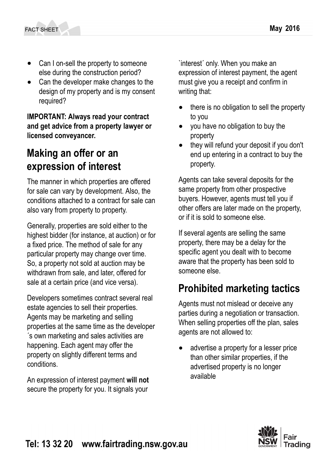- Can I on-sell the property to someone else during the construction period?
- Can the developer make changes to the design of my property and is my consent required?

**IMPORTANT: Always read your contract and get advice from a property lawyer or licensed conveyancer.**

### **Making an offer or an expression of interest**

The manner in which properties are offered for sale can vary by development. Also, the conditions attached to a contract for sale can also vary from property to property.

Generally, properties are sold either to the highest bidder (for instance, at auction) or for a fixed price. The method of sale for any particular property may change over time. So, a property not sold at auction may be withdrawn from sale, and later, offered for sale at a certain price (and vice versa).

Developers sometimes contract several real estate agencies to sell their properties. Agents may be marketing and selling properties at the same time as the developer ´s own marketing and sales activities are happening. Each agent may offer the property on slightly different terms and conditions.

An expression of interest payment **will not** secure the property for you. It signals your

`interest´ only. When you make an expression of interest payment, the agent must give you a receipt and confirm in writing that:

- there is no obligation to sell the property to you
- you have no obligation to buy the property
- they will refund your deposit if you don't end up entering in a contract to buy the property.

Agents can take several deposits for the same property from other prospective buyers. However, agents must tell you if other offers are later made on the property, or if it is sold to someone else.

If several agents are selling the same property, there may be a delay for the specific agent you dealt with to become aware that the property has been sold to someone else.

### **Prohibited marketing tactics**

Agents must not mislead or deceive any parties during a negotiation or transaction. When selling properties off the plan, sales agents are not allowed to:

advertise a property for a lesser price than other similar properties, if the advertised property is no longer available

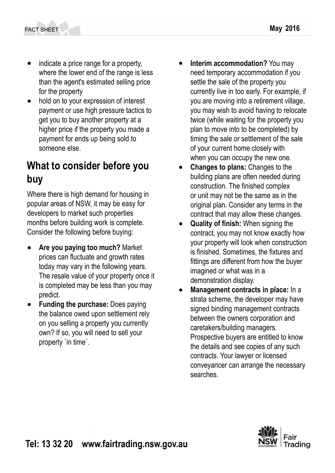- indicate a price range for a property, where the lower end of the range is less than the agent's estimated selling price for the property
- hold on to your expression of interest payment or use high pressure tactics to get you to buy another property at a higher price if the property you made a payment for ends up being sold to someone else.

#### **What to consider before you buy**

Where there is high demand for housing in popular areas of NSW, it may be easy for developers to market such properties months before building work is complete. Consider the following before buying:

- **Are you paying too much?** Market prices can fluctuate and growth rates today may vary in the following years. The resale value of your property once it is completed may be less than you may predict.
- **Funding the purchase: Does paying** the balance owed upon settlement rely on you selling a property you currently own? If so, you will need to sell your property `in time´.
- **Interim accommodation?** You may need temporary accommodation if you settle the sale of the property you currently live in too early. For example, if you are moving into a retirement village, you may wish to avoid having to relocate twice (while waiting for the property you plan to move into to be completed) by timing the sale or settlement of the sale of your current home closely with when you can occupy the new one.
- **Changes to plans:** Changes to the building plans are often needed during construction. The finished complex or unit may not be the same as in the original plan. Consider any terms in the contract that may allow these changes.
- **Quality of finish:** When signing the contract, you may not know exactly how your property will look when construction is finished. Sometimes, the fixtures and fittings are different from how the buyer imagined or what was in a demonstration display.
- **Management contracts in place:** In a strata scheme, the developer may have signed binding management contracts between the owners corporation and caretakers/building managers. Prospective buyers are entitled to know the details and see copies of any such contracts. Your lawyer or licensed conveyancer can arrange the necessary searches.

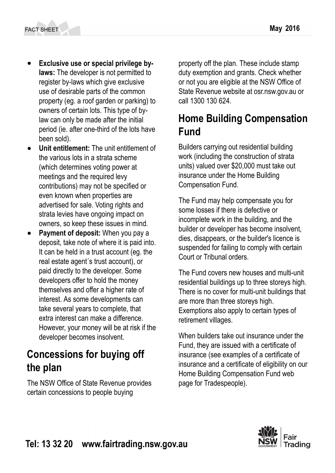- **Exclusive use or special privilege bylaws:** The developer is not permitted to register by-laws which give exclusive use of desirable parts of the common property (eg. a roof garden or parking) to owners of certain lots. This type of bylaw can only be made after the initial period (ie. after one-third of the lots have been sold).
- **Unit entitlement:** The unit entitlement of the various lots in a strata scheme (which determines voting power at meetings and the required levy contributions) may not be specified or even known when properties are advertised for sale. Voting rights and strata levies have ongoing impact on owners, so keep these issues in mind.
- Payment of deposit: When you pay a deposit, take note of where it is paid into. It can be held in a trust account (eg. the real estate agent´s trust account), or paid directly to the developer. Some developers offer to hold the money themselves and offer a higher rate of interest. As some developments can take several years to complete, that extra interest can make a difference. However, your money will be at risk if the developer becomes insolvent.

#### **Concessions for buying off the plan**

The NSW Office of State Revenue provides certain concessions to people buying

property off the plan. These include stamp duty exemption and grants. Check whether or not you are eligible at the NSW Office of State Revenue website at osr.nsw.gov.au or call 1300 130 624.

### **Home Building Compensation Fund**

Builders carrying out residential building work (including the construction of strata units) valued over \$20,000 must take out insurance under the Home Building Compensation Fund.

The Fund may help compensate you for some losses if there is defective or incomplete work in the building, and the builder or developer has become insolvent, dies, disappears, or the builder's licence is suspended for failing to comply with certain Court or Tribunal orders.

The Fund covers new houses and multi-unit residential buildings up to three storeys high. There is no cover for multi-unit buildings that are more than three storeys high. Exemptions also apply to certain types of retirement villages.

When builders take out insurance under the Fund, they are issued with a certificate of insurance (see examples of a certificate of insurance and a certificate of eligibility on our Home Building Compensation Fund web page for Tradespeople).

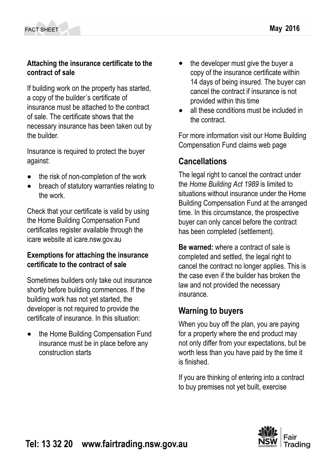**contract of sale**

If building work on the property has started, a copy of the builder´s certificate of insurance must be attached to the contract of sale. The certificate shows that the necessary insurance has been taken out by the builder.

Insurance is required to protect the buyer against:

- the risk of non-completion of the work
- breach of statutory warranties relating to the work.

Check that your certificate is valid by using the Home Building Compensation Fund certificates register available through the icare website at icare.nsw.gov.au

#### **Exemptions for attaching the insurance certificate to the contract of sale**

Sometimes builders only take out insurance shortly before building commences. If the building work has not yet started, the developer is not required to provide the certificate of insurance. In this situation:

the Home Building Compensation Fund insurance must be in place before any construction starts

- the developer must give the buyer a copy of the insurance certificate within 14 days of being insured. The buyer can cancel the contract if insurance is not provided within this time
- all these conditions must be included in the contract.

For more information visit our Home Building Compensation Fund claims web page

#### **Cancellations**

The legal right to cancel the contract under the *Home Building Act 1989* is limited to situations without insurance under the Home Building Compensation Fund at the arranged time. In this circumstance, the prospective buyer can only cancel before the contract has been completed (settlement).

**Be warned:** where a contract of sale is completed and settled, the legal right to cancel the contract no longer applies. This is the case even if the builder has broken the law and not provided the necessary insurance.

#### **Warning to buyers**

When you buy off the plan, you are paying for a property where the end product may not only differ from your expectations, but be worth less than you have paid by the time it is finished.

If you are thinking of entering into a contract to buy premises not yet built, exercise